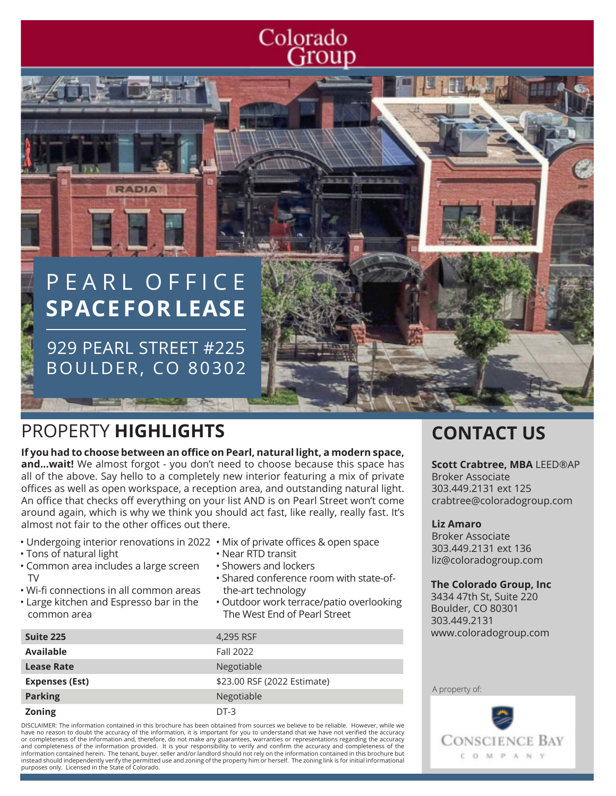# Colorado Group

# PEARL OFFICE **SPACE FOR LEASE**

**RADIA** 

929 PEARL STREET #225 BOULDER, CO 80302

# PROPERTY **HIGHLIGHTS CONTACT US**

#### **If you had to choose between an office on Pearl, natural light, a modern space,**

**and...wait!** We almost forgot - you don't need to choose because this space has all of the above. Say hello to a completely new interior featuring a mix of private offices as well as open workspace, a reception area, and outstanding natural light. An office that checks off everything on your list AND is on Pearl Street won't come around again, which is why we think you should act fast, like really, really fast. It's almost not fair to the other offices out there.

- Undergoing interior renovations in 2022 Mix of private offices & open space
- Tons of natural light
- Common area includes a large screen TV
- Wi-fi connections in all common areas
- Large kitchen and Espresso bar in the common area
- 
- Near RTD transit
- Showers and lockers
- Shared conference room with state-of the-art technology
- Outdoor work terrace/patio overlooking The West End of Pearl Street

| Suite 225             | 4,295 RSF                   |
|-----------------------|-----------------------------|
| <b>Available</b>      | Fall 2022                   |
| <b>Lease Rate</b>     | Negotiable                  |
| <b>Expenses (Est)</b> | \$23.00 RSF (2022 Estimate) |
| <b>Parking</b>        | Negotiable                  |
| <b>Zoning</b>         | DT-3                        |

DISCLAIMER: The information contained in this brochure has been obtained from sources we believe to be reliable. However, while we have no reason to doubt the accuracy of the information, it is important for you to understand that we have not verified the accuracy or completeness of the information and, therefore, do not make any guarantees, warranties or representations regarding the accuracy<br>and completeness of the information provided. It is your responsibility to verify and con information contained herein. The tenant, buyer, seller and/or landlord should not rely on the information contained in this brochure but instead should independently verify the permitted use and zoning of the property him or herself. The zoning link is for initial informational purposes only. Licensed in the State of Colorado.

#### **Scott Crabtree, MBA** LEED®AP Broker Associate

303.449.2131 ext 125 crabtree@coloradogroup.com

#### **Liz Amaro**

Broker Associate 303.449.2131 ext 136 liz@coloradogroup.com

#### **The Colorado Group, Inc**

3434 47th St, Suite 220 Boulder, CO 80301 303.449.2131 www.coloradogroup.com

A property of:

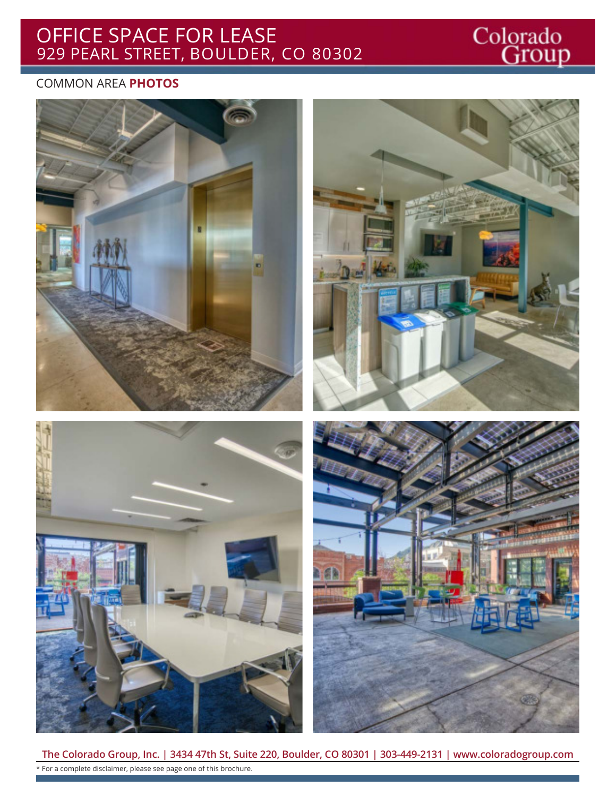# OFFICE SPACE FOR LEASE 929 PEARL STREET, BOULDER, CO 80302

# Colorado<br>Group

## COMMON AREA **PHOTOS**









**The Colorado Group, Inc. | 3434 47th St, Suite 220, Boulder, CO 80301 | 303-449-2131 | www.coloradogroup.com** \* For a complete disclaimer, please see page one of this brochure.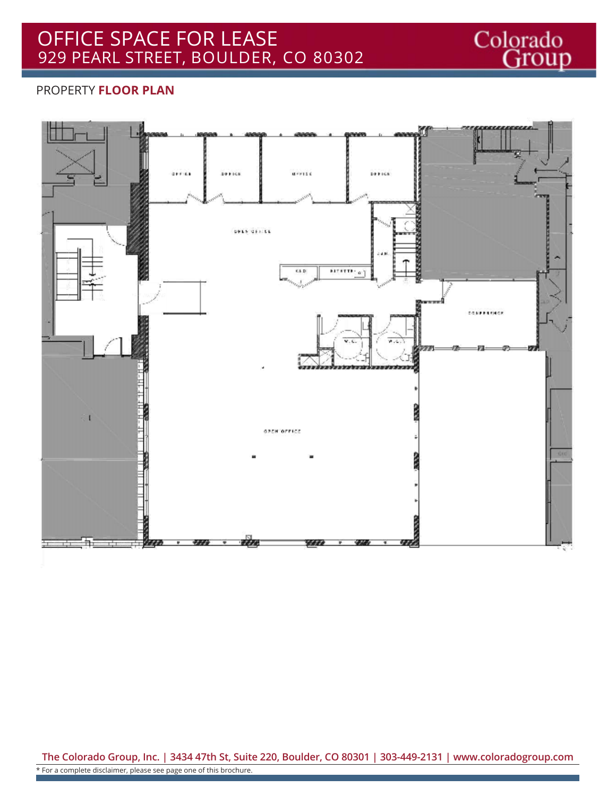

### PROPERTY **FLOOR PLAN**



**The Colorado Group, Inc. | 3434 47th St, Suite 220, Boulder, CO 80301 | 303-449-2131 | www.coloradogroup.com** \* For a complete disclaimer, please see page one of this brochure.